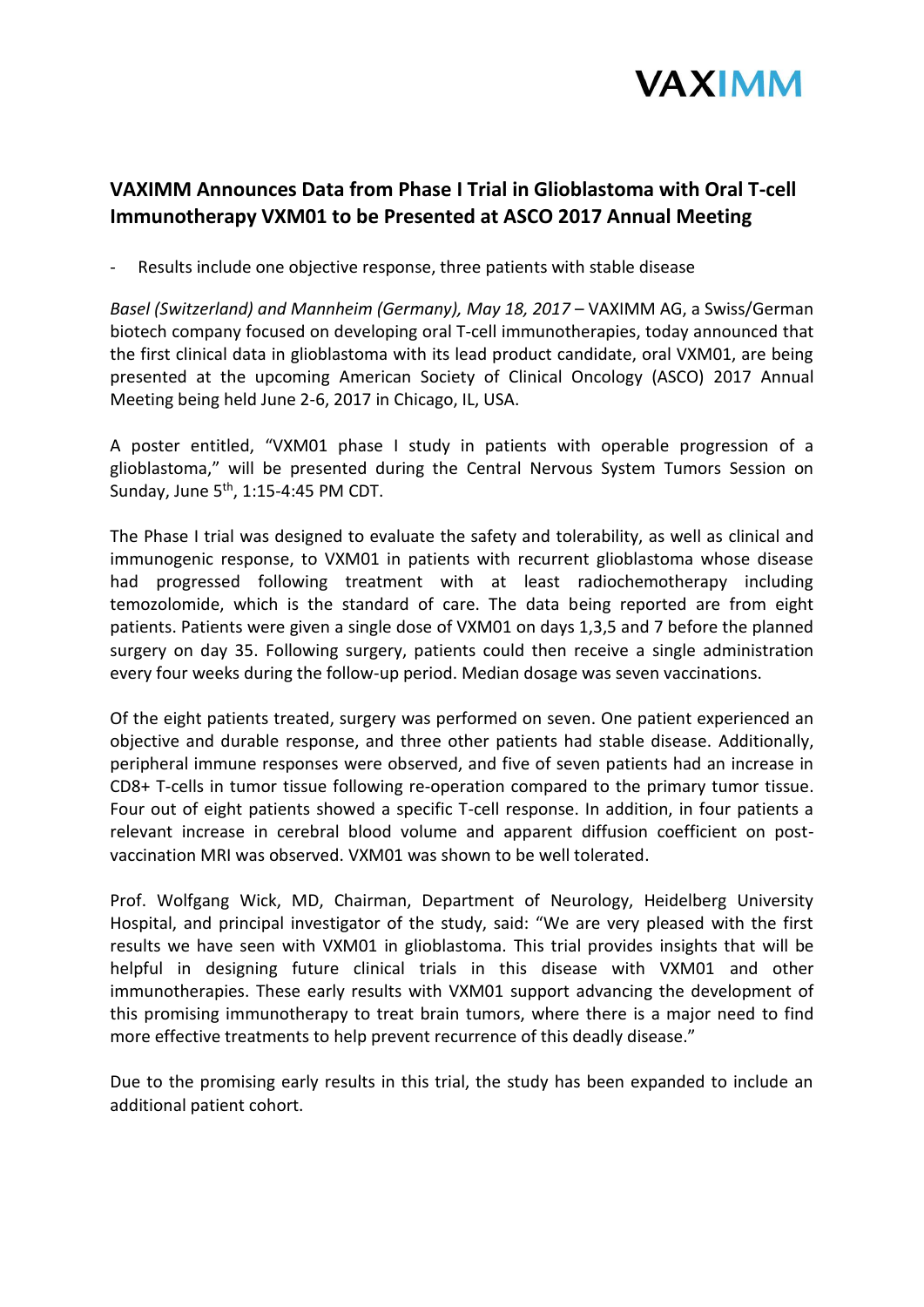

# **VAXIMM Announces Data from Phase I Trial in Glioblastoma with Oral T-cell Immunotherapy VXM01 to be Presented at ASCO 2017 Annual Meeting**

Results include one objective response, three patients with stable disease

*Basel (Switzerland) and Mannheim (Germany), May 18, 2017* – VAXIMM AG, a Swiss/German biotech company focused on developing oral T-cell immunotherapies, today announced that the first clinical data in glioblastoma with its lead product candidate, oral VXM01, are being presented at the upcoming American Society of Clinical Oncology (ASCO) 2017 Annual Meeting being held June 2-6, 2017 in Chicago, IL, USA.

A poster entitled, "VXM01 phase I study in patients with operable progression of a glioblastoma," will be presented during the Central Nervous System Tumors Session on Sunday, June 5<sup>th</sup>, 1:15-4:45 PM CDT.

The Phase I trial was designed to evaluate the safety and tolerability, as well as clinical and immunogenic response, to VXM01 in patients with recurrent glioblastoma whose disease had progressed following treatment with at least radiochemotherapy including temozolomide, which is the standard of care. The data being reported are from eight patients. Patients were given a single dose of VXM01 on days 1,3,5 and 7 before the planned surgery on day 35. Following surgery, patients could then receive a single administration every four weeks during the follow-up period. Median dosage was seven vaccinations.

Of the eight patients treated, surgery was performed on seven. One patient experienced an objective and durable response, and three other patients had stable disease. Additionally, peripheral immune responses were observed, and five of seven patients had an increase in CD8+ T-cells in tumor tissue following re-operation compared to the primary tumor tissue. Four out of eight patients showed a specific T-cell response. In addition, in four patients a relevant increase in cerebral blood volume and apparent diffusion coefficient on postvaccination MRI was observed. VXM01 was shown to be well tolerated.

Prof. Wolfgang Wick, MD, Chairman, Department of Neurology, Heidelberg University Hospital, and principal investigator of the study, said: "We are very pleased with the first results we have seen with VXM01 in glioblastoma. This trial provides insights that will be helpful in designing future clinical trials in this disease with VXM01 and other immunotherapies. These early results with VXM01 support advancing the development of this promising immunotherapy to treat brain tumors, where there is a major need to find more effective treatments to help prevent recurrence of this deadly disease."

Due to the promising early results in this trial, the study has been expanded to include an additional patient cohort.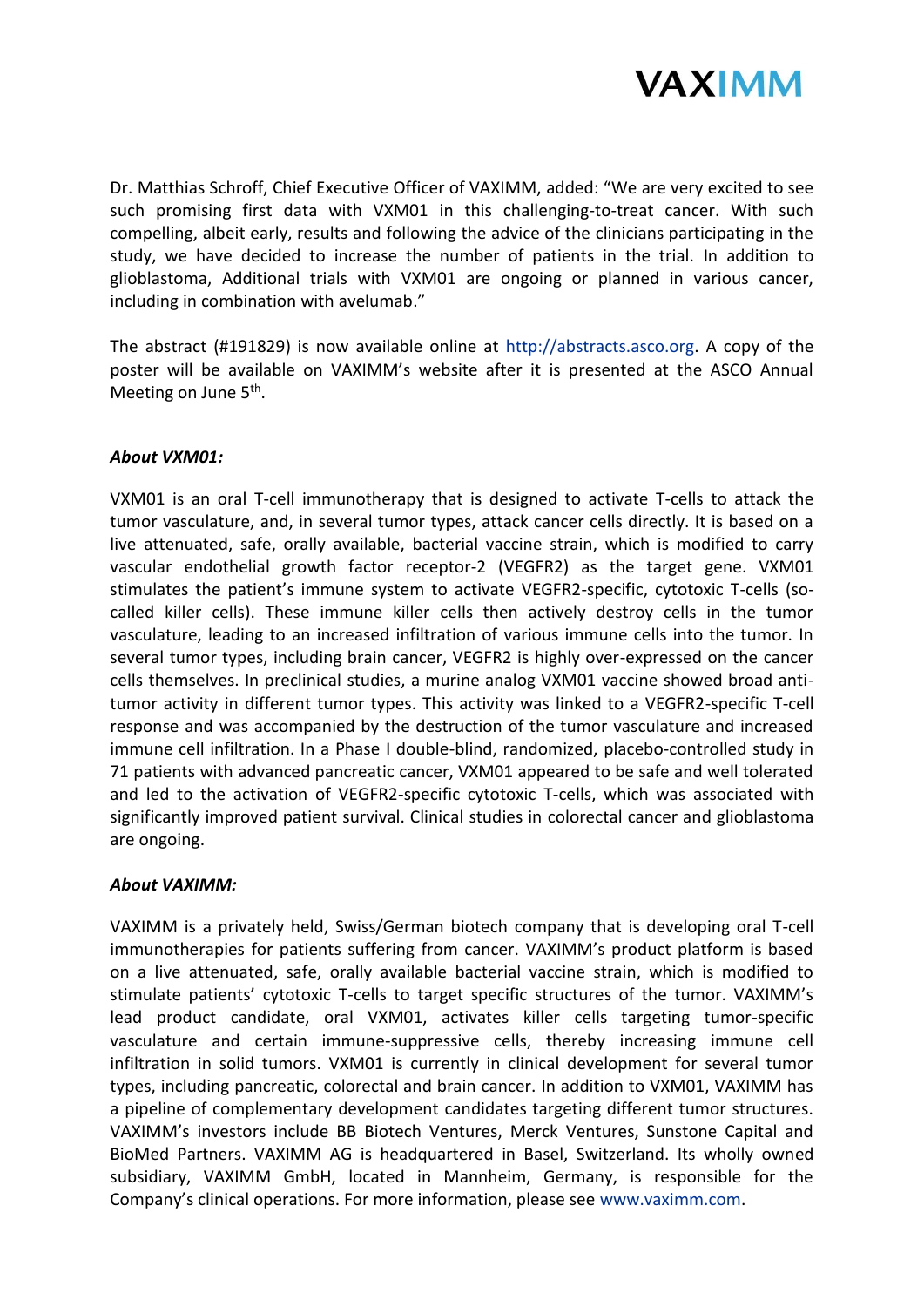

Dr. Matthias Schroff, Chief Executive Officer of VAXIMM, added: "We are very excited to see such promising first data with VXM01 in this challenging-to-treat cancer. With such compelling, albeit early, results and following the advice of the clinicians participating in the study, we have decided to increase the number of patients in the trial. In addition to glioblastoma, Additional trials with VXM01 are ongoing or planned in various cancer, including in combination with avelumab."

The abstract (#191829) is now available online at [http://abstracts.asco.org.](http://abstracts.asco.org/) A copy of the poster will be available on VAXIMM's website after it is presented at the ASCO Annual Meeting on June 5<sup>th</sup>.

## *About VXM01:*

VXM01 is an oral T-cell immunotherapy that is designed to activate T-cells to attack the tumor vasculature, and, in several tumor types, attack cancer cells directly. It is based on a live attenuated, safe, orally available, bacterial vaccine strain, which is modified to carry vascular endothelial growth factor receptor-2 (VEGFR2) as the target gene. VXM01 stimulates the patient's immune system to activate VEGFR2-specific, cytotoxic T-cells (socalled killer cells). These immune killer cells then actively destroy cells in the tumor vasculature, leading to an increased infiltration of various immune cells into the tumor. In several tumor types, including brain cancer, VEGFR2 is highly over-expressed on the cancer cells themselves. In preclinical studies, a murine analog VXM01 vaccine showed broad antitumor activity in different tumor types. This activity was linked to a VEGFR2-specific T-cell response and was accompanied by the destruction of the tumor vasculature and increased immune cell infiltration. In a Phase I double-blind, randomized, placebo-controlled study in 71 patients with advanced pancreatic cancer, VXM01 appeared to be safe and well tolerated and led to the activation of VEGFR2-specific cytotoxic T-cells, which was associated with significantly improved patient survival. Clinical studies in colorectal cancer and glioblastoma are ongoing.

### *About VAXIMM:*

VAXIMM is a privately held, Swiss/German biotech company that is developing oral T-cell immunotherapies for patients suffering from cancer. VAXIMM's product platform is based on a live attenuated, safe, orally available bacterial vaccine strain, which is modified to stimulate patients' cytotoxic T-cells to target specific structures of the tumor. VAXIMM's lead product candidate, oral VXM01, activates killer cells targeting tumor-specific vasculature and certain immune-suppressive cells, thereby increasing immune cell infiltration in solid tumors. VXM01 is currently in clinical development for several tumor types, including pancreatic, colorectal and brain cancer. In addition to VXM01, VAXIMM has a pipeline of complementary development candidates targeting different tumor structures. VAXIMM's investors include BB Biotech Ventures, Merck Ventures, Sunstone Capital and BioMed Partners. VAXIMM AG is headquartered in Basel, Switzerland. Its wholly owned subsidiary, VAXIMM GmbH, located in Mannheim, Germany, is responsible for the Company's clinical operations. For more information, please see [www.vaximm.com.](http://www.vaximm.com/)